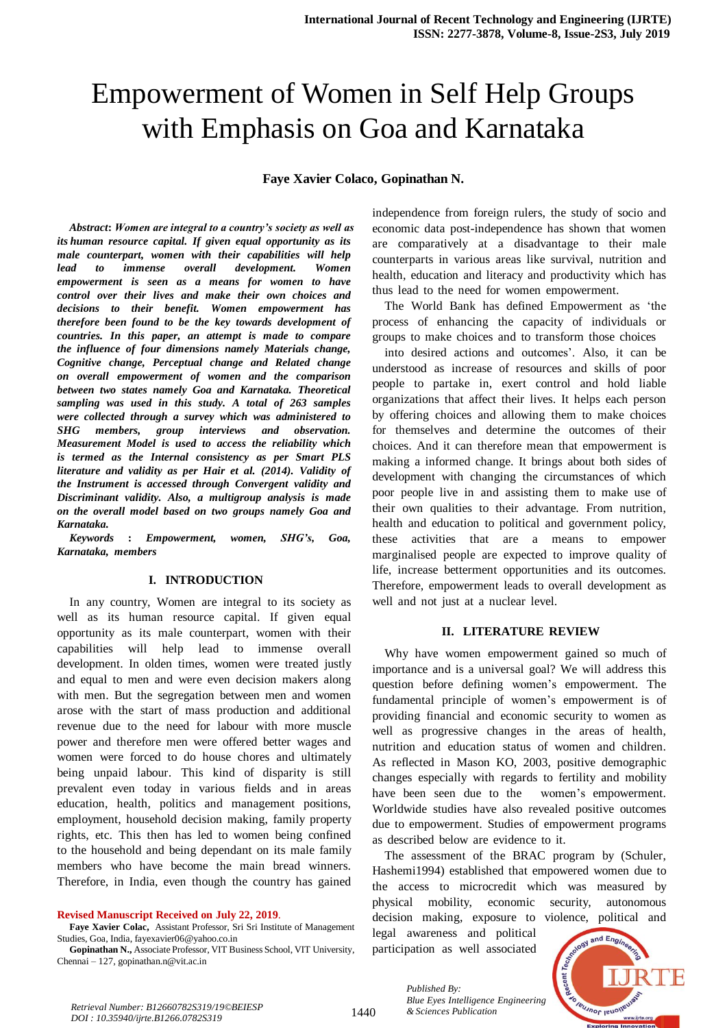# Empowerment of Women in Self Help Groups with Emphasis on Goa and Karnataka

# **Faye Xavier Colaco, Gopinathan N.**

*Abstract***:** *Women are integral to a country's society as well as its human resource capital. If given equal opportunity as its male counterpart, women with their capabilities will help lead to immense overall development.* Women *empowerment is seen as a means for women to have control over their lives and make their own choices and decisions to their benefit. Women empowerment has therefore been found to be the key towards development of countries. In this paper, an attempt is made to compare the influence of four dimensions namely Materials change, Cognitive change*, *Perceptual change and Related change on overall empowerment of women and the comparison between two states namely Goa and Karnataka. Theoretical samplingwas used in this study.* A *total of* 263 *samples were* collected through a survey which was administered to *SHG members, group interviews and observation. Measurement Model is used to access the reliability which is termed as the Internal consistency <i>as per Smart PLS* literature and validity as per Hair et al. (2014). Validity of *the* Instrument is accessed through Convergent validity and *Discriminant validity. Also, a multigroup analysis is made on* the overall model based on two groups namely Goa and *Karnataka.*

*Keywords* : *Empowerment, women, SHG's, Goa,*  $Karnataka$ , *members* 

### **I. INTRODUCTION**

In any country, Women are integral to its society as well as its human resource capital. If given equal opportunity as its male counterpart, women with their capabilities will help lead to immense overall development. In olden times, women were treated justly and equal to men and were even decision makers along with men. But the segregation between men and women arose with the start of mass production and additional revenue due to the need for labour with more muscle power and therefore men were offered better wages and women were forced to do house chores and ultimately being unpaid labour. This kind of disparity is still prevalent even today in various fields and in areas education, health, politics and management positions, employment, household decision making, family property rights, etc. This then has led to women being confined to the household and being dependant on its male family members who have become the main bread winners. Therefore, in India, even though the country has gained

#### **Revised Manuscript Received on July 22, 2019**.

**Faye Xavier Colac,** Assistant Professor, Sri Sri Institute of Management Studies, Goa, India, fayexavier06@yahoo.co.in

**Gopinathan N.,** Associate Professor, VIT Business School, VIT University, Chennai – 127, gopinathan.n@vit.ac.in

independence from foreign rulers, the study of socio and economic data post-independence has shown that women are comparatively at a disadvantage to their male counterparts in various areas like survival, nutrition and health, education and literacy and productivity which has thus lead to the need for women empowerment.

The World Bank has defined Empowerment as 'the process of enhancing the capacity of individuals or groups to make choices and to transform those choices

into desired actions and outcomes'. Also, it can be understood as increase of resources and skills of poor people to partake in, exert control and hold liable organizations that affect their lives. It helps each person by offering choices and allowing them to make choices for themselves and determine the outcomes of their choices. And it can therefore mean that empowerment is making a informed change. It brings about both sides of development with changing the circumstances of which poor people live in and assisting them to make use of their own qualities to their advantage. From nutrition, health and education to political and government policy, these activities that are a means to empower marginalised people are expected to improve quality of life, increase betterment opportunities and its outcomes. Therefore, empowerment leads to overall development as well and not just at a nuclear level.

#### **II.** LITERATURE REVIEW

Why have women empowerment gained so much of importance and is a universal goal? We will address this question before defining women's empowerment. The fundamental principle of women's empowerment is of providing financial and economic security to women as well as progressive changes in the areas of health, nutrition and education status of women and children. As reflected in Mason KO, 2003, positive demographic changes especially with regards to fertility and mobility have been seen due to the women's empowerment. Worldwide studies have also revealed positive outcomes due to empowerment. Studies of empowerment programs as described below are evidence to it.

The assessment of the BRAC program by (Schuler, Hashemi1994) established that empowered women due to the access to microcredit which was measured by physical mobility, economic security, autonomous decision making, exposure to violence, political and legal awareness and political and Engi participation as well associated



*& Sciences Publication Retrieval Number: B12660782S319/19©BEIESP DOI : 10.35940/ijrte.B1266.0782S319*

*Published By:*

*Blue Eyes Intelligence Engineering*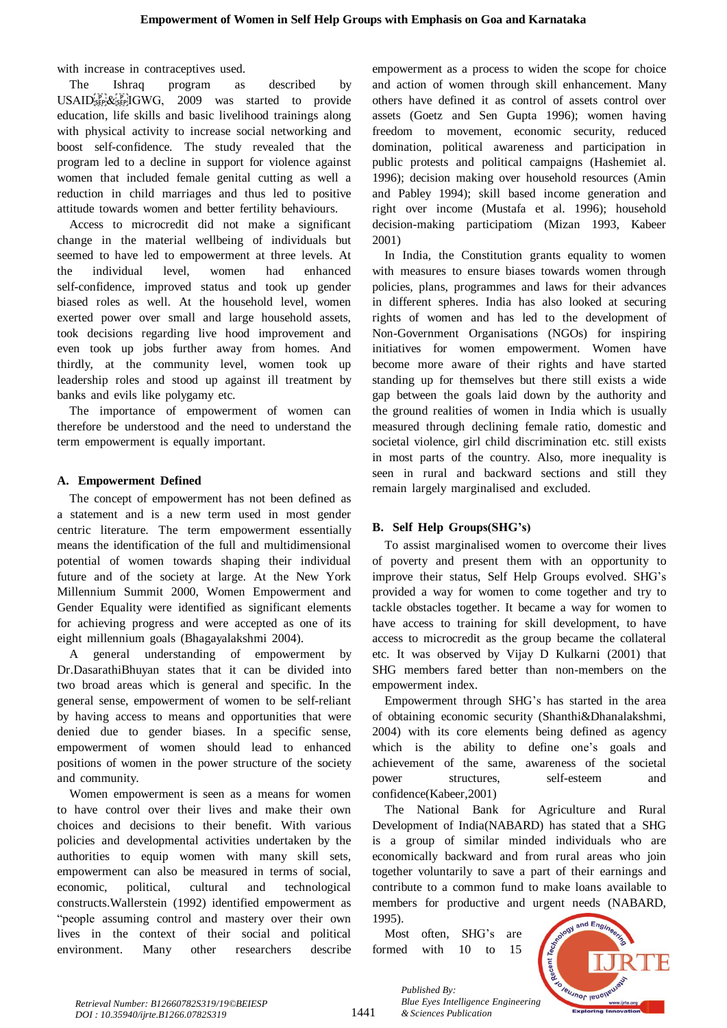with increase in contraceptives used.

The Ishraq program as described by  $USAID<sub>SEP<sub>i</sub></sub><sup>[P<sub>i</sub>][GWG, 2009</sup>$  was started to provide education, life skills and basic livelihood trainings along with physical activity to increase social networking and boost self-confidence. The study revealed that the program led to a decline in support for violence against women that included female genital cutting as well a reduction in child marriages and thus led to positive attitude towards women and better fertility behaviours.

Access to microcredit did not make a significant change in the material wellbeing of individuals but seemed to have led to empowerment at three levels. At the individual level, women had enhanced self-confidence, improved status and took up gender biased roles as well. At the household level, women exerted power over small and large household assets, took decisions regarding live hood improvement and even took up jobs further away from homes. And thirdly, at the community level, women took up leadership roles and stood up against ill treatment by banks and evils like polygamy etc.

The importance of empowerment of women can therefore be understood and the need to understand the term empowerment is equally important.

# **A. EmpowermentT Defined**

The concept of empowerment has not been defined as a statement and is a new term used in most gender centric literature. The term empowerment essentially means the identification of the full and multidimensional potential of women towards shaping their individual future and of the society at large. At the New York Millennium Summit 2000, Women Empowerment and Gender Equality were identified as significant elements for achieving progress and were accepted as one of its eight millennium goals (Bhagayalakshmi 2004).

A general understanding of empowerment by Dr.DasarathiBhuyan states that it can be divided into two broad areas which is general and specific. In the general sense, empowerment of women to be self-reliant by having access to means and opportunities that were denied due to gender biases. In a specific sense, empowerment of women should lead to enhanced positions of women in the power structure of the society and community.

Women empowerment is seen as a means for women to have control over their lives and make their own choices and decisions to their benefit. With various policies and developmental activities undertaken by the authorities to equip women with many skill sets, empowerment can also be measured in terms of social, economic, political, cultural and technological constructs. Wallerstein (1992) identified empowerment as "people assuming control and mastery over their own lives in the context of their social and political environment. Many other researchers describe empowerment as a process to widen the scope for choice and action of women through skill enhancement. Many others have defined it as control of assets control over assets (Goetz and Sen Gupta 1996); women having freedom to movement, economic security, reduced domination, political awareness and participation in public protests and political campaigns (Hashemiet al. 1996); decision making over household resources (Amin and Pabley 1994); skill based income generation and right over income (Mustafa et al. 1996); household decision-making participatiom (Mizan 1993, Kabeer 2001)

In India, the Constitution grants equality to women with measures to ensure biases towards women through policies, plans, programmes and laws for their advances in different spheres. India has also looked at securing rights of women and has led to the development of Non-Government Organisations (NGOs) for inspiring initiatives for women empowerment. Women have become more aware of their rights and have started standing up for themselves but there still exists a wide gap between the goals laid down by the authority and the ground realities of women in India which is usually measured through declining female ratio, domestic and societal violence, girl child discrimination etc. still exists in most parts of the country. Also, more inequality is seen in rural and backward sections and still they remain largely marginalised and excluded.

# **B. SelfT HelpT Groups(SHG's)**

To assist marginalised women to overcome their lives of poverty and present them with an opportunity to improve their status, Self Help Groups evolved. SHG's provided a way for women to come together and try to tackle obstacles together. It became a way for women to have access to training for skill development, to have access to microcredit as the group became the collateral etc. It was observed by Vijay D Kulkarni (2001) that SHG members fared better than non-members on the empowerment index.

Empowerment through SHG's has started in the area of obtaining economic security (Shanthi&Dhanalakshmi,  $2004$ ) with its core elements being defined as agency which is the ability to define one's goals and achievement of the same, awareness of the societal power structures, self-esteem and confidence(Kabeer,2001)

The National Bank for Agriculture and Rural Development of India(NABARD) has stated that a SHG is a group of similar minded individuals who are economically backward and from rural areas who join together voluntarily to save a part of their earnings and contribute to a common fund to make loans available to members for productive and urgent needs (NABARD, 1995).

Most often, SHG's are formed with  $10$  to  $15$ 

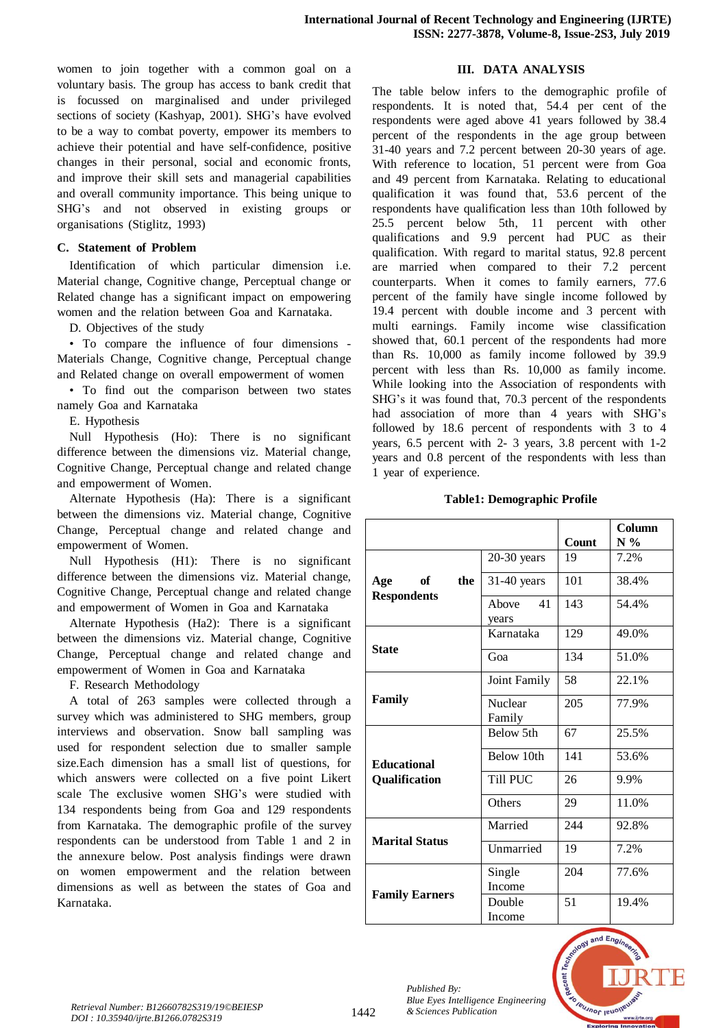women to join together with a common goal on a voluntary basis. The group has access to bank credit that is focussed on marginalised and under privileged sections of society (Kashyap, 2001). SHG's have evolved to be a way to combat poverty, empower its members to achieve their potential and have self-confidence, positive changes in their personal, social and economic fronts, and improve their skill sets and managerial capabilities and overall community importance. This being unique to SHG's and not observed in existing groups or organisations (Stiglitz, 1993)

## $C.$  **Statement** of **Problem**

Identification of which particular dimension i.e. Material change, Cognitive change, Perceptual change or Related change has a significant impact on empowering women and the relation between Goa and Karnataka.

D. Objectives of the study

• To compare the influence of four dimensions -Materials Change, Cognitive change, Perceptual change and Related change on overall empowerment of women

• To find out the comparison between two states namely Goa and Karnataka

E. Hypothesis

Null Hypothesis (Ho): There is no significant difference between the dimensions viz. Material change, Cognitive Change, Perceptual change and related change and empowerment of Women.

Alternate Hypothesis (Ha): There is a significant between the dimensions viz. Material change, Cognitive Change, Perceptual change and related change and empowerment of Women.

Null Hypothesis  $(H1)$ : There is no significant difference between the dimensions viz. Material change, Cognitive Change, Perceptual change and related change and empowerment of Women in Goa and Karnataka

Alternate Hypothesis (Ha2): There is a significant between the dimensions viz. Material change, Cognitive Change, Perceptual change and related change and empowerment of Women in Goa and Karnataka

F. Research Methodology

A total of 263 samples were collected through a survey which was administered to SHG members, group interviews and observation. Snow ball sampling was used for respondent selection due to smaller sample size.Each dimension has a small list of questions, for which answers were collected on a five point Likert scale The exclusive women SHG's were studied with 134 respondents being from Goa and 129 respondents from Karnataka. The demographic profile of the survey respondents can be understood from Table 1 and 2 in the annexure below. Post analysis findings were drawn on women empowerment and the relation between dimensions as well as between the states of Goa and Karnataka.

# **III. DATAANALYSIS**

The table below infers to the demographic profile of respondents. It is noted that, 54.4 per cent of the respondents were aged above 41 years followed by 38.4 percent of the respondents in the age group between  $31-40$  years and  $7.2$  percent between  $20-30$  years of age. With reference to location, 51 percent were from Goa and 49 percent from Karnataka. Relating to educational qualification it was found that, 53.6 percent of the respondents have qualification less than 10th followed by  $25.5$  percent below 5th, 11 percent with other qualifications and 9.9 percent had PUC as their qualification. With regard to marital status, 92.8 percent are married when compared to their 7.2 percent counterparts. When it comes to family earners, 77.6 percent of the family have single income followed by 19.4 percent with double income and  $3$  percent with multi earnings. Family income wise classification showed that, 60.1 percent of the respondents had more than Rs.  $10,000$  as family income followed by 39.9 percent with less than Rs.  $10,000$  as family income. While looking into the Association of respondents with SHG's it was found that, 70.3 percent of the respondents had association of more than 4 years with SHG's followed by  $18.6$  percent of respondents with 3 to 4 years,  $6.5$  percent with  $2-3$  years,  $3.8$  percent with  $1-2$ years and 0.8 percent of the respondents with less than 1 year of experience.

#### **Table1: Demographic Profile**

|                                        |                          | <b>Count</b> | Column<br>$N\%$ |
|----------------------------------------|--------------------------|--------------|-----------------|
|                                        | $20-30$ years            | 19           | 7.2%            |
| Age<br>of<br>the<br><b>Respondents</b> | $31-40$ years            | 101          | 38.4%           |
|                                        | 41<br>Above<br>years     | 143          | 54.4%           |
|                                        | Karnataka                | 129          | 49.0%           |
| <b>State</b>                           | Goa                      | 134          | 51.0%           |
|                                        | Joint Family             | 58           | 22.1%           |
| Family                                 | <b>Nuclear</b><br>Family | 205          | 77.9%           |
|                                        | Below 5th                | 67           | 25.5%           |
| <b>Educational</b>                     | Below 10th               | 141          | 53.6%           |
| Qualification                          | Till PUC                 | 26           | 9.9%            |
|                                        | Others                   | 29           | 11.0%           |
|                                        | Married                  | 244          | 92.8%           |
| <b>Marital Status</b>                  | Unmarried                | 19           | 7.2%            |
|                                        | Single<br>Income         | 204          | 77.6%           |
| <b>Family Earners</b>                  | Double<br>Income         | 51           | 19.4%           |



*Published By:*

*Blue Eyes Intelligence Engineering*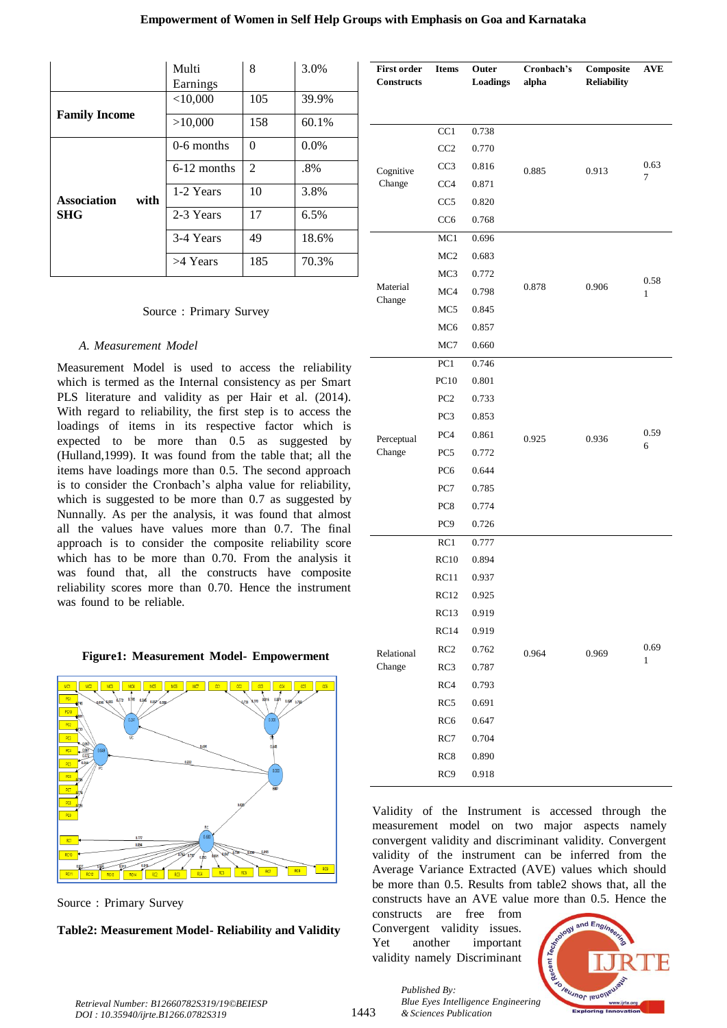# **Empowerment of Women in Self Help Groups with Emphasis on Goa and Karnataka**

|                            | Multi<br>Earnings | 8              | 3.0%    |
|----------------------------|-------------------|----------------|---------|
|                            | $<$ 10,000        | 105            | 39.9%   |
| <b>Family Income</b>       | >10,000           | 158            | 60.1%   |
|                            | $0-6$ months      | $\Omega$       | $0.0\%$ |
|                            | 6-12 months       | $\mathfrak{D}$ | $.8\%$  |
| with<br><b>Association</b> | 1-2 Years         | 10             | 3.8%    |
| <b>SHG</b>                 | 2-3 Years         | 17             | 6.5%    |
|                            | 3-4 Years         | 49             | 18.6%   |
|                            | >4 Years          | 185            | 70.3%   |

## Source: Primary Survey

#### $A.$  *Measurement Model*

Measurement Model is used to access the reliability which is termed as the Internal consistency as per Smart PLS literature and validity as per Hair et al. (2014). With regard to reliability, the first step is to access the loadings of items in its respective factor which is expected to be more than  $0.5$  as suggested by (Hulland,  $1999$ ). It was found from the table that; all the items have loadings more than 0.5. The second approach is to consider the Cronbach's alpha value for reliability, which is suggested to be more than  $0.7$  as suggested by Nunnally. As per the analysis, it was found that almost all the values have values more than 0.7. The final approach is to consider the composite reliability score which has to be more than  $0.70$ . From the analysis it was found that, all the constructs have composite reliability scores more than 0.70. Hence the instrument was found to be reliable.

#### **Figure1:T MeasurementT Model-T Empowerment**



Source: Primary Survey

### **Table2: Measurement Model- Reliability and Validity**

| <b>First order</b><br><b>Constructs</b> | <b>Items</b>    | Outer<br><b>Loadings</b> | Cronbach's<br>alpha | Composite<br><b>Reliability</b> | <b>AVE</b> |
|-----------------------------------------|-----------------|--------------------------|---------------------|---------------------------------|------------|
|                                         |                 |                          |                     |                                 |            |
|                                         | CC1             | 0.738                    |                     |                                 |            |
|                                         | CC <sub>2</sub> | 0.770                    |                     |                                 |            |
| Cognitive                               | CC <sub>3</sub> | 0.816                    | 0.885               | 0.913                           | 0.63       |
| Change                                  | CC <sub>4</sub> | 0.871                    |                     |                                 | 7          |
|                                         | CC <sub>5</sub> | 0.820                    |                     |                                 |            |
|                                         | CC <sub>6</sub> | 0.768                    |                     |                                 |            |
|                                         | MC1             | 0.696                    |                     |                                 |            |
|                                         | MC <sub>2</sub> | 0.683                    |                     |                                 |            |
|                                         | MC <sub>3</sub> | 0.772                    |                     |                                 | 0.58       |
| Material<br>Change                      | MC4             | 0.798                    | 0.878               | 0.906                           | 1          |
|                                         | MC <sub>5</sub> | 0.845                    |                     |                                 |            |
|                                         | MC <sub>6</sub> | 0.857                    |                     |                                 |            |
|                                         | MC7             | 0.660                    |                     |                                 |            |
|                                         | PC1             | 0.746                    |                     |                                 |            |
|                                         | PC10            | 0.801                    |                     |                                 |            |
|                                         | PC <sub>2</sub> | 0.733                    |                     |                                 |            |
|                                         | PC3             | 0.853                    | 0.925               |                                 |            |
| Perceptual                              | PC <sub>4</sub> | 0.861                    |                     | 0.936                           | 0.59       |
| Change                                  | PC <sub>5</sub> | 0.772                    |                     |                                 | 6          |
|                                         | PC <sub>6</sub> | 0.644                    |                     |                                 |            |
|                                         | PC7             | 0.785                    |                     |                                 |            |
|                                         | PC <sub>8</sub> | 0.774                    |                     |                                 |            |
|                                         | PC <sub>9</sub> | 0.726                    |                     |                                 |            |
|                                         | RC1             | 0.777                    |                     |                                 |            |
|                                         | RC10            | 0.894                    |                     |                                 |            |
|                                         | RC11            | 0.937                    |                     |                                 |            |
|                                         | RC12            | 0.925                    |                     |                                 |            |
|                                         | RC13            | 0.919                    |                     |                                 |            |
|                                         | RC14            | 0.919                    |                     |                                 |            |
| Relational                              | RC2             | 0.762                    | 0.964               | 0.969                           | 0.69<br>1  |
| Change                                  | RC3             | 0.787                    |                     |                                 |            |
|                                         | RC4             | 0.793                    |                     |                                 |            |
|                                         | RC5             | 0.691                    |                     |                                 |            |
|                                         | RC <sub>6</sub> | 0.647                    |                     |                                 |            |
|                                         | RC7             | 0.704                    |                     |                                 |            |
|                                         | RC8             | 0.890                    |                     |                                 |            |
|                                         | RC9             | 0.918                    |                     |                                 |            |

Validity of the Instrument is accessed through the measurement model on two major aspects namely convergent validity and discriminant validity. Convergent validity of the instrument can be inferred from the Average Variance Extracted (AVE) values which should be more than 0.5. Results from table2 shows that, all the constructs have an AVE value more than 0.5. Hence the

constructs are free from Convergent validity issues. Yet another important validity namely Discriminant

*& Sciences Publication* 

*Published By:*



*Retrieval Number: B12660782S319/19©BEIESP DOI : 10.35940/ijrte.B1266.0782S319*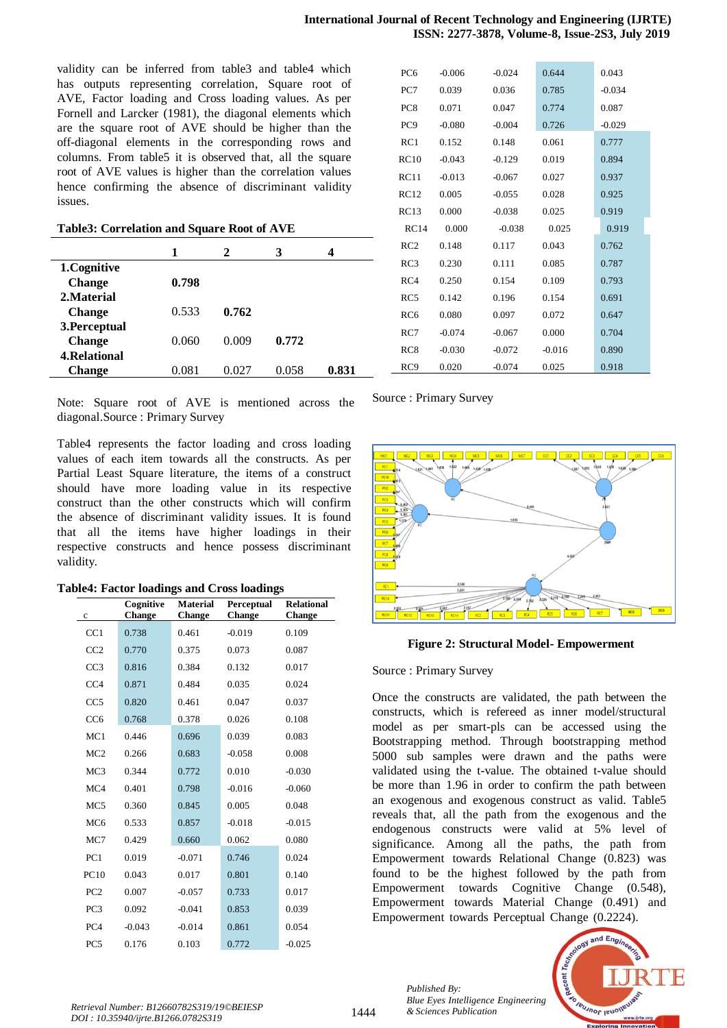validity can be inferred from table3 and table4 which has outputs representing correlation, Square root of AVE, Factor loading and Cross loading values. As per Fornell and Larcker (1981), the diagonal elements which are the square root of AVE should be higher than the off-diagonal elements in the corresponding rows and columns. From table5 it is observed that, all the square root of AVE values is higher than the correlation values hence confirming the absence of discriminant validity issues.

**Table3: Correlation and Square Root of AVE**

|                     | 1     | 2     | 3     |       |
|---------------------|-------|-------|-------|-------|
| 1.Cognitive         |       |       |       |       |
| <b>Change</b>       | 0.798 |       |       |       |
| 2. Material         |       |       |       |       |
| <b>Change</b>       | 0.533 | 0.762 |       |       |
| 3. Perceptual       |       |       |       |       |
| <b>Change</b>       | 0.060 | 0.009 | 0.772 |       |
| <b>4.Relational</b> |       |       |       |       |
| <b>Change</b>       | 0.081 | 0.027 | 0.058 | 0.831 |

Note: Square root of AVE is mentioned across the diagonal.Source : Primary Survey

Table4 represents the factor loading and cross loading values of each item towards all the constructs. As per Partial Least Square literature, the items of a construct should have more loading value in its respective construct than the other constructs which will confirm the absence of discriminant validity issues. It is found that all the items have higher loadings in their respective constructs and hence possess discriminant validity.

|  | <b>Table4: Factor loadings and Cross loadings</b> |  |  |
|--|---------------------------------------------------|--|--|
|  |                                                   |  |  |

| $\mathbf c$     | Cognitive<br>Change | <b>Material</b><br><b>Change</b> | Perceptual<br>Change | <b>Relational</b><br>Change |
|-----------------|---------------------|----------------------------------|----------------------|-----------------------------|
| CC1             | 0.738               | 0.461                            | $-0.019$             | 0.109                       |
| CC2             | 0.770               | 0.375                            | 0.073                | 0.087                       |
| CC3             | 0.816               | 0.384                            | 0.132                | 0.017                       |
| CC4             | 0.871               | 0.484                            | 0.035                | 0.024                       |
| CC <sub>5</sub> | 0.820               | 0.461                            | 0.047                | 0.037                       |
| CC <sub>6</sub> | 0.768               | 0.378                            | 0.026                | 0.108                       |
| MC1             | 0.446               | 0.696                            | 0.039                | 0.083                       |
| MC <sub>2</sub> | 0.266               | 0.683                            | $-0.058$             | 0.008                       |
| MC <sub>3</sub> | 0.344               | 0.772                            | 0.010                | $-0.030$                    |
| MC4             | 0.401               | 0.798                            | $-0.016$             | $-0.060$                    |
| MC <sub>5</sub> | 0.360               | 0.845                            | 0.005                | 0.048                       |
| MC <sub>6</sub> | 0.533               | 0.857                            | $-0.018$             | $-0.015$                    |
| MC7             | 0.429               | 0.660                            | 0.062                | 0.080                       |
| PC1             | 0.019               | $-0.071$                         | 0.746                | 0.024                       |
| PC10            | 0.043               | 0.017                            | 0.801                | 0.140                       |
| PC <sub>2</sub> | 0.007               | $-0.057$                         | 0.733                | 0.017                       |
| PC <sub>3</sub> | 0.092               | $-0.041$                         | 0.853                | 0.039                       |
| PC <sub>4</sub> | $-0.043$            | $-0.014$                         | 0.861                | 0.054                       |
| PC <sub>5</sub> | 0.176               | 0.103                            | 0.772                | $-0.025$                    |

| PC <sub>6</sub> | $-0.006$ | $-0.024$ | 0.644    | 0.043    |
|-----------------|----------|----------|----------|----------|
| PC7             | 0.039    | 0.036    | 0.785    | $-0.034$ |
| PC <sub>8</sub> | 0.071    | 0.047    | 0.774    | 0.087    |
| PC <sub>9</sub> | $-0.080$ | $-0.004$ | 0.726    | $-0.029$ |
| RC1             | 0.152    | 0.148    | 0.061    | 0.777    |
| RC10            | $-0.043$ | $-0.129$ | 0.019    | 0.894    |
| RC11            | $-0.013$ | $-0.067$ | 0.027    | 0.937    |
| RC12            | 0.005    | $-0.055$ | 0.028    | 0.925    |
| RC13            | 0.000    | $-0.038$ | 0.025    | 0.919    |
| RC14            | 0.000    | $-0.038$ | 0.025    | 0.919    |
| RC2             | 0.148    | 0.117    | 0.043    | 0.762    |
| RC3             | 0.230    | 0.111    | 0.085    | 0.787    |
| RC4             | 0.250    | 0.154    | 0.109    | 0.793    |
| RC <sub>5</sub> | 0.142    | 0.196    | 0.154    | 0.691    |
|                 |          |          |          |          |
| RC <sub>6</sub> | 0.080    | 0.097    | 0.072    | 0.647    |
| RC7             | $-0.074$ | $-0.067$ | 0.000    | 0.704    |
| RC <sub>8</sub> | $-0.030$ | $-0.072$ | $-0.016$ | 0.890    |

Source : Primary Survey



**Figure 2: Structural Model- Empowerment**

Source : Primary Survey

*Published By:*

*Blue Eyes Intelligence Engineering* 

Once the constructs are validated, the path between the constructs, which is refereed as inner model/structural model as per smart-pls can be accessed using the Bootstrapping method. Through bootstrapping method 5000 sub samples were drawn and the paths were validated using the t-value. The obtained t-value should be more than 1.96 in order to confirm the path between an exogenous and exogenous construct as valid. Table5 reveals that, all the path from the exogenous and the endogenous constructs were valid at 5% level of significance. Among all the paths, the path from Empowerment towards Relational Change  $(0.823)$  was found to be the highest followed by the path from Empowerment towards Cognitive Change  $(0.548)$ , Empowerment towards Material Change  $(0.491)$  and Empowerment towards Perceptual Change (0.2224).



*& Sciences Publication Retrieval Number: B12660782S319/19©BEIESP DOI : 10.35940/ijrte.B1266.0782S319*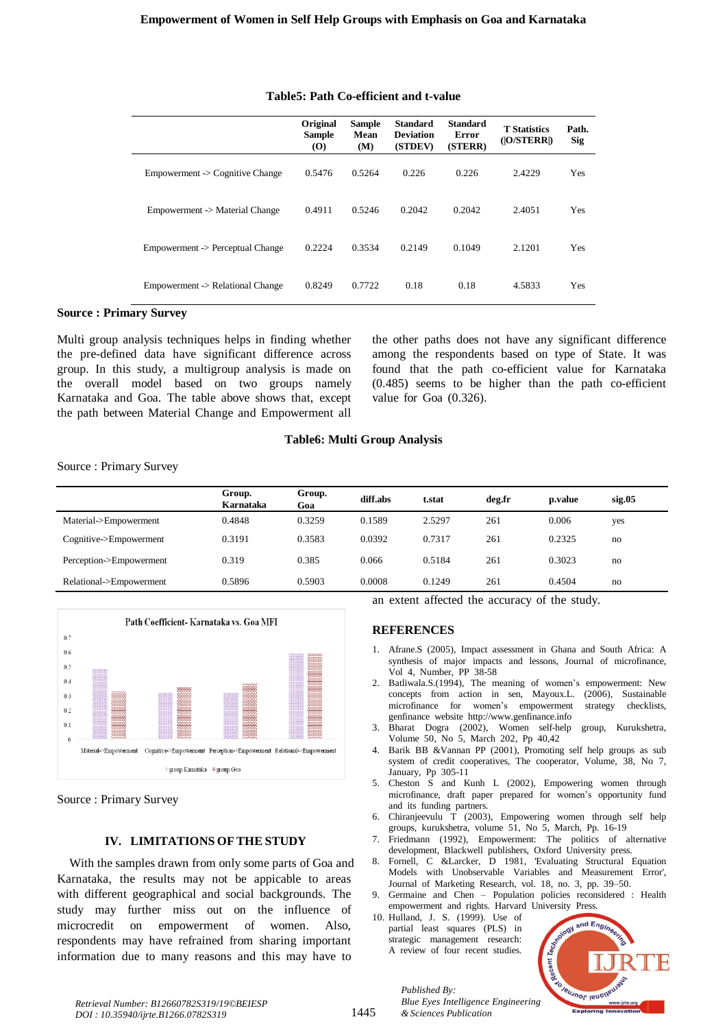|                                  | Original<br><b>Sample</b><br>$\boldsymbol{\left( \mathbf{O} \right)}$ | <b>Sample</b><br>Mean<br>(M) | <b>Standard</b><br><b>Deviation</b><br>(STDEV) | <b>Standard</b><br>Error<br>(STERR) | <b>T</b> Statistics<br>( O/STERR ) | Path.<br><b>Sig</b> |
|----------------------------------|-----------------------------------------------------------------------|------------------------------|------------------------------------------------|-------------------------------------|------------------------------------|---------------------|
| Empowerment -> Cognitive Change  | 0.5476                                                                | 0.5264                       | 0.226                                          | 0.226                               | 2.4229                             | Yes                 |
| Empowerment -> Material Change   | 0.4911                                                                | 0.5246                       | 0.2042                                         | 0.2042                              | 2.4051                             | Yes                 |
| Empowerment -> Perceptual Change | 0.2224                                                                | 0.3534                       | 0.2149                                         | 0.1049                              | 2.1201                             | Yes                 |
| Empowerment -> Relational Change | 0.8249                                                                | 0.7722                       | 0.18                                           | 0.18                                | 4.5833                             | Yes                 |

## **Table5: Path Co-efficient and t-value**

## **Source : Primary Survey**

Multi group analysis techniques helps in finding whether the pre-defined data have significant difference across group. In this study, a multigroup analysis is made on the overall model based on two groups namely Karnataka and Goa. The table above shows that, except the path between Material Change and Empowerment all

the other paths does not have any significant difference among the respondents based on type of State. It was found that the path co-efficient value for Karnataka  $(0.485)$  seems to be higher than the path co-efficient value for Goa  $(0.326)$ .

## **Table6: Multi Group Analysis**

Source : Primary Survey

|                         | Group.<br>Karnataka | Group.<br>Goa | diff.abs | t.stat | deg.fr | p.value | sig.05 |
|-------------------------|---------------------|---------------|----------|--------|--------|---------|--------|
| Material->Empowerment   | 0.4848              | 0.3259        | 0.1589   | 2.5297 | 261    | 0.006   | yes    |
| Cognitive->Empowerment  | 0.3191              | 0.3583        | 0.0392   | 0.7317 | 261    | 0.2325  | no     |
| Perception->Empowerment | 0.319               | 0.385         | 0.066    | 0.5184 | 261    | 0.3023  | no     |
| Relational->Empowerment | 0.5896              | 0.5903        | 0.0008   | 0.1249 | 261    | 0.4504  | no     |



Source : Primary Survey

# **IV. LIMITATIONS OF THE STUDY**

With the samples drawn from only some parts of Goa and Karnataka, the results may not be appicable to areas with different geographical and social backgrounds. The study may further miss out on the influence of microcredit on empowerment of women. Also, respondents may have refrained from sharing important information due to many reasons and this may have to

an extent affected the accuracy of the study.

## **REFERENCES**

- 1. Afrane.S (2005), Impact assessment in Ghana and South Africa: A synthesis of major impacts and lessons, Journal of microfinance, Vol 4, Number, PP 38-58
- 2. Batliwala.S.(1994), The meaning of women's empowerment: New concepts from action in sen, Mayoux.L. (2006), Sustainable microfinance for women's empowerment strategy checklists, genfinance website http://www.genfinance.info
- 3. Bharat Dogra (2002), Women self-help group, Kurukshetra, Volume 50, No 5, March 202, Pp 40,42
- Barik BB &Vannan PP (2001), Promoting self help groups as sub system of credit cooperatives, The cooperator, Volume, 38, No 7, January, Pp 305-11
- 5. Cheston  $\overrightarrow{S}$  and Kunh L (2002), Empowering women through microfinance, draft paper prepared for women's opportunity fund and its funding partners.
- 6. Chiranjeevulu T (2003), Empowering women through self help groups, kurukshetra, volume 51, No 5, March, Pp. 16-19
- 7. Friedmann (1992), Empowerment: The politics of alternative development, Blackwell publishers, Oxford University press.
- 8. Fornell, C &Larcker, D 1981, 'Evaluating Structural Equation Models with Unobservable Variables and Measurement Error', Journal of Marketing Research, vol. 18, no. 3, pp. 39–50.
- 9. Germaine and Chen Population policies reconsidered : Health empowerment and rights. Harvard University Press.
- 10. Hulland, J. S. (1999). Use of partial least squares (PLS) in strategic management research: A review of four recent studies.



*Published By: Blue Eyes Intelligence Engineering & Sciences Publication*